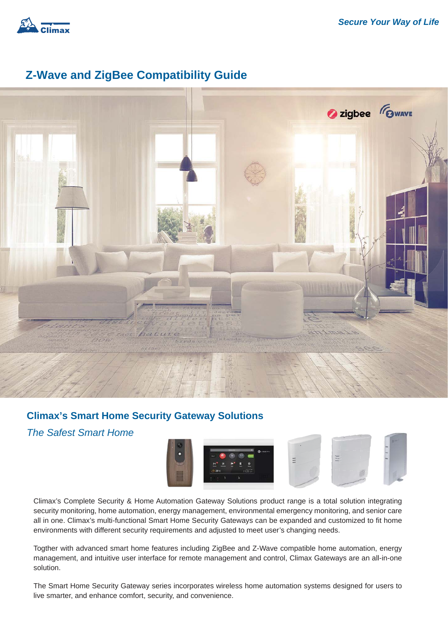

#### **Z-Wave and ZigBee Compatibility Guide**



#### **Climax's Smart Home Security Gateway Solutions**

#### *The Safest Smart Home*



Climax's Complete Security & Home Automation Gateway Solutions product range is a total solution integrating security monitoring, home automation, energy management, environmental emergency monitoring, and senior care all in one. Climax's multi-functional Smart Home Security Gateways can be expanded and customized to fit home environments with different security requirements and adjusted to meet user's changing needs.

Togther with advanced smart home features including ZigBee and Z-Wave compatible home automation, energy management, and intuitive user interface for remote management and control, Climax Gateways are an all-in-one solution.

The Smart Home Security Gateway series incorporates wireless home automation systems designed for users to live smarter, and enhance comfort, security, and convenience.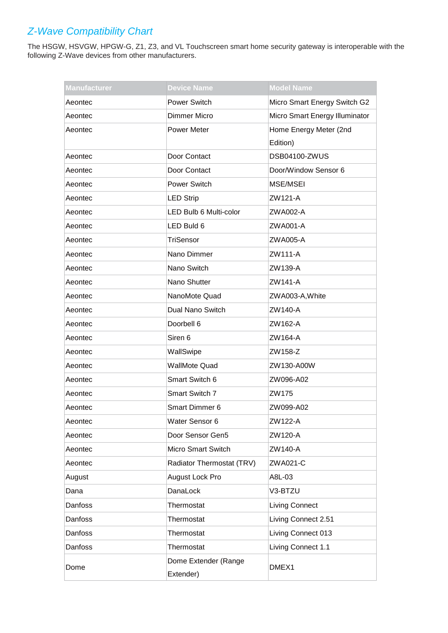| <b>Manufacturer</b> | <b>Device Name</b>                | <b>Model Name</b>              |
|---------------------|-----------------------------------|--------------------------------|
| Aeontec             | <b>Power Switch</b>               | Micro Smart Energy Switch G2   |
| Aeontec             | Dimmer Micro                      | Micro Smart Energy Illuminator |
| Aeontec             | <b>Power Meter</b>                | Home Energy Meter (2nd         |
|                     |                                   | Edition)                       |
| Aeontec             | Door Contact                      | <b>DSB04100-ZWUS</b>           |
| Aeontec             | Door Contact                      | Door/Window Sensor 6           |
| Aeontec             | <b>Power Switch</b>               | MSE/MSEI                       |
| Aeontec             | <b>LED Strip</b>                  | ZW121-A                        |
| Aeontec             | LED Bulb 6 Multi-color            | ZWA002-A                       |
| Aeontec             | LED Buld 6                        | ZWA001-A                       |
| Aeontec             | TriSensor                         | ZWA005-A                       |
| Aeontec             | Nano Dimmer                       | ZW111-A                        |
| Aeontec             | Nano Switch                       | ZW139-A                        |
| Aeontec             | Nano Shutter                      | ZW141-A                        |
| Aeontec             | NanoMote Quad                     | ZWA003-A, White                |
| Aeontec             | Dual Nano Switch                  | ZW140-A                        |
| Aeontec             | Doorbell 6                        | ZW162-A                        |
| Aeontec             | Siren 6                           | ZW164-A                        |
| Aeontec             | WallSwipe                         | ZW158-Z                        |
| Aeontec             | <b>WallMote Quad</b>              | ZW130-A00W                     |
| Aeontec             | Smart Switch 6                    | ZW096-A02                      |
| Aeontec             | Smart Switch 7                    | ZW175                          |
| Aeontec             | <b>Smart Dimmer 6</b>             | ZW099-A02                      |
| Aeontec             | Water Sensor 6                    | ZW122-A                        |
| Aeontec             | Door Sensor Gen5                  | ZW120-A                        |
| Aeontec             | <b>Micro Smart Switch</b>         | ZW140-A                        |
| Aeontec             | Radiator Thermostat (TRV)         | ZWA021-C                       |
| August              | August Lock Pro                   | A8L-03                         |
| Dana                | DanaLock                          | V3-BTZU                        |
| Danfoss             | Thermostat                        | <b>Living Connect</b>          |
| Danfoss             | Thermostat                        | Living Connect 2.51            |
| Danfoss             | Thermostat                        | Living Connect 013             |
| Danfoss             | Thermostat                        | Living Connect 1.1             |
| Dome                | Dome Extender (Range<br>Extender) | DMEX1                          |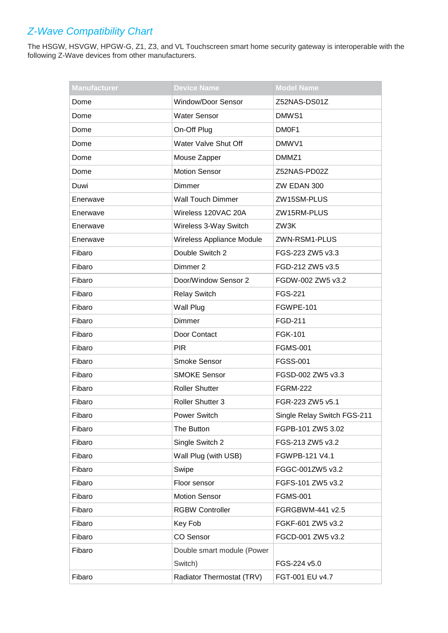| <b>Manufacturer</b> | <b>Device Name</b>         | <b>Model Name</b>           |
|---------------------|----------------------------|-----------------------------|
| Dome                | Window/Door Sensor         | Z52NAS-DS01Z                |
| Dome                | <b>Water Sensor</b>        | DMW <sub>S1</sub>           |
| Dome                | On-Off Plug                | DM0F1                       |
| Dome                | Water Valve Shut Off       | DMWV1                       |
| Dome                | Mouse Zapper               | DMMZ1                       |
| Dome                | <b>Motion Sensor</b>       | Z52NAS-PD02Z                |
| Duwi                | Dimmer                     | ZW EDAN 300                 |
| Enerwave            | <b>Wall Touch Dimmer</b>   | ZW15SM-PLUS                 |
| Enerwave            | Wireless 120VAC 20A        | ZW15RM-PLUS                 |
| Enerwave            | Wireless 3-Way Switch      | ZW3K                        |
| Enerwave            | Wireless Appliance Module  | ZWN-RSM1-PLUS               |
| Fibaro              | Double Switch 2            | FGS-223 ZW5 v3.3            |
| Fibaro              | Dimmer 2                   | FGD-212 ZW5 v3.5            |
| Fibaro              | Door/Window Sensor 2       | FGDW-002 ZW5 v3.2           |
| Fibaro              | <b>Relay Switch</b>        | <b>FGS-221</b>              |
| Fibaro              | Wall Plug                  | FGWPE-101                   |
| Fibaro              | Dimmer                     | FGD-211                     |
| Fibaro              | Door Contact               | FGK-101                     |
| Fibaro              | <b>PIR</b>                 | <b>FGMS-001</b>             |
| Fibaro              | <b>Smoke Sensor</b>        | <b>FGSS-001</b>             |
| Fibaro              | <b>SMOKE Sensor</b>        | FGSD-002 ZW5 v3.3           |
| Fibaro              | <b>Roller Shutter</b>      | <b>FGRM-222</b>             |
| Fibaro              | Roller Shutter 3           | FGR-223 ZW5 v5.1            |
| Fibaro              | <b>Power Switch</b>        | Single Relay Switch FGS-211 |
| Fibaro              | The Button                 | FGPB-101 ZW5 3.02           |
| Fibaro              | Single Switch 2            | FGS-213 ZW5 v3.2            |
| Fibaro              | Wall Plug (with USB)       | FGWPB-121 V4.1              |
| Fibaro              | Swipe                      | FGGC-001ZW5 v3.2            |
| Fibaro              | Floor sensor               | FGFS-101 ZW5 v3.2           |
| Fibaro              | <b>Motion Sensor</b>       | <b>FGMS-001</b>             |
| Fibaro              | <b>RGBW Controller</b>     | FGRGBWM-441 v2.5            |
| Fibaro              | Key Fob                    | FGKF-601 ZW5 v3.2           |
| Fibaro              | <b>CO Sensor</b>           | FGCD-001 ZW5 v3.2           |
| Fibaro              | Double smart module (Power |                             |
|                     | Switch)                    | FGS-224 v5.0                |
| Fibaro              | Radiator Thermostat (TRV)  | FGT-001 EU v4.7             |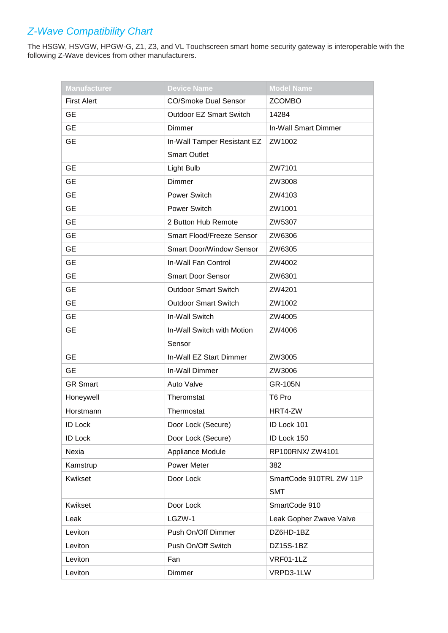| <b>Manufacturer</b> | <b>Device Name</b>              | <b>Model Name</b>       |
|---------------------|---------------------------------|-------------------------|
| <b>First Alert</b>  | <b>CO/Smoke Dual Sensor</b>     | <b>ZCOMBO</b>           |
| <b>GE</b>           | <b>Outdoor EZ Smart Switch</b>  | 14284                   |
| <b>GE</b>           | Dimmer                          | In-Wall Smart Dimmer    |
| <b>GE</b>           | In-Wall Tamper Resistant EZ     | ZW1002                  |
|                     | <b>Smart Outlet</b>             |                         |
| <b>GE</b>           | Light Bulb                      | ZW7101                  |
| <b>GE</b>           | Dimmer                          | ZW3008                  |
| <b>GE</b>           | Power Switch                    | ZW4103                  |
| <b>GE</b>           | Power Switch                    | ZW1001                  |
| <b>GE</b>           | 2 Button Hub Remote             | ZW5307                  |
| <b>GE</b>           | Smart Flood/Freeze Sensor       | ZW6306                  |
| <b>GE</b>           | <b>Smart Door/Window Sensor</b> | ZW6305                  |
| <b>GE</b>           | In-Wall Fan Control             | ZW4002                  |
| <b>GE</b>           | <b>Smart Door Sensor</b>        | ZW6301                  |
| <b>GE</b>           | <b>Outdoor Smart Switch</b>     | ZW4201                  |
| <b>GE</b>           | <b>Outdoor Smart Switch</b>     | ZW1002                  |
| <b>GE</b>           | In-Wall Switch                  | ZW4005                  |
| <b>GE</b>           | In-Wall Switch with Motion      | ZW4006                  |
|                     | Sensor                          |                         |
| <b>GE</b>           | In-Wall EZ Start Dimmer         | ZW3005                  |
| <b>GE</b>           | In-Wall Dimmer                  | ZW3006                  |
| <b>GR Smart</b>     | Auto Valve                      | <b>GR-105N</b>          |
| Honeywell           | Theromstat                      | T6 Pro                  |
| Horstmann           | Thermostat                      | HRT4-ZW                 |
| <b>ID Lock</b>      | Door Lock (Secure)              | ID Lock 101             |
| <b>ID Lock</b>      | Door Lock (Secure)              | ID Lock 150             |
| Nexia               | Appliance Module                | RP100RNX/ZW4101         |
| Kamstrup            | Power Meter                     | 382                     |
| Kwikset             | Door Lock                       | SmartCode 910TRL ZW 11P |
|                     |                                 | <b>SMT</b>              |
| Kwikset             | Door Lock                       | SmartCode 910           |
| Leak                | LGZW-1                          | Leak Gopher Zwave Valve |
| Leviton             | Push On/Off Dimmer              | DZ6HD-1BZ               |
| Leviton             | Push On/Off Switch              | DZ15S-1BZ               |
| Leviton             | Fan                             | VRF01-1LZ               |
| Leviton             | Dimmer                          | VRPD3-1LW               |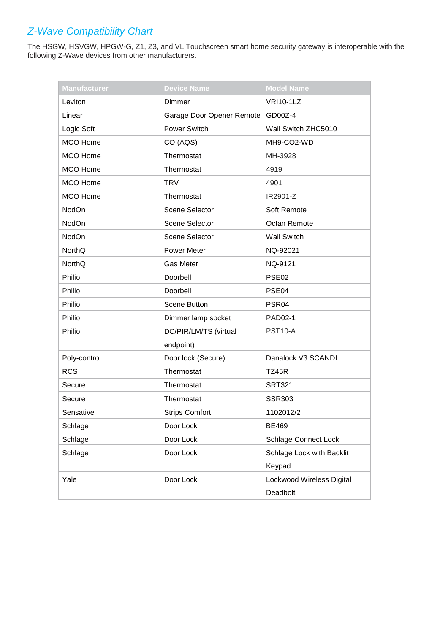| <b>Manufacturer</b> | <b>Device Name</b>        | <b>Model Name</b>                     |
|---------------------|---------------------------|---------------------------------------|
| Leviton             | <b>Dimmer</b>             | <b>VRI10-1LZ</b>                      |
| Linear              | Garage Door Opener Remote | GD00Z-4                               |
| Logic Soft          | Power Switch              | Wall Switch ZHC5010                   |
| MCO Home            | CO (AQS)                  | MH9-CO2-WD                            |
| <b>MCO Home</b>     | Thermostat                | MH-3928                               |
| <b>MCO</b> Home     | Thermostat                | 4919                                  |
| <b>MCO</b> Home     | <b>TRV</b>                | 4901                                  |
| <b>MCO Home</b>     | Thermostat                | IR2901-Z                              |
| NodOn               | <b>Scene Selector</b>     | Soft Remote                           |
| NodOn               | <b>Scene Selector</b>     | Octan Remote                          |
| NodOn               | Scene Selector            | <b>Wall Switch</b>                    |
| NorthQ              | Power Meter               | NQ-92021                              |
| <b>NorthQ</b>       | <b>Gas Meter</b>          | NQ-9121                               |
| Philio              | Doorbell                  | PSE <sub>02</sub>                     |
| Philio              | Doorbell                  | PSE04                                 |
| Philio              | Scene Button              | PSR04                                 |
| Philio              | Dimmer lamp socket        | PAD02-1                               |
| Philio              | DC/PIR/LM/TS (virtual     | <b>PST10-A</b>                        |
|                     | endpoint)                 |                                       |
| Poly-control        | Door lock (Secure)        | Danalock V3 SCANDI                    |
| <b>RCS</b>          | Thermostat                | <b>TZ45R</b>                          |
| Secure              | Thermostat                | <b>SRT321</b>                         |
| Secure              | Thermostat                | <b>SSR303</b>                         |
| Sensative           | <b>Strips Comfort</b>     | 1102012/2                             |
| Schlage             | Door Lock                 | <b>BE469</b>                          |
| Schlage             | Door Lock                 | <b>Schlage Connect Lock</b>           |
| Schlage             | Door Lock                 | Schlage Lock with Backlit<br>Keypad   |
| Yale                | Door Lock                 | Lockwood Wireless Digital<br>Deadbolt |